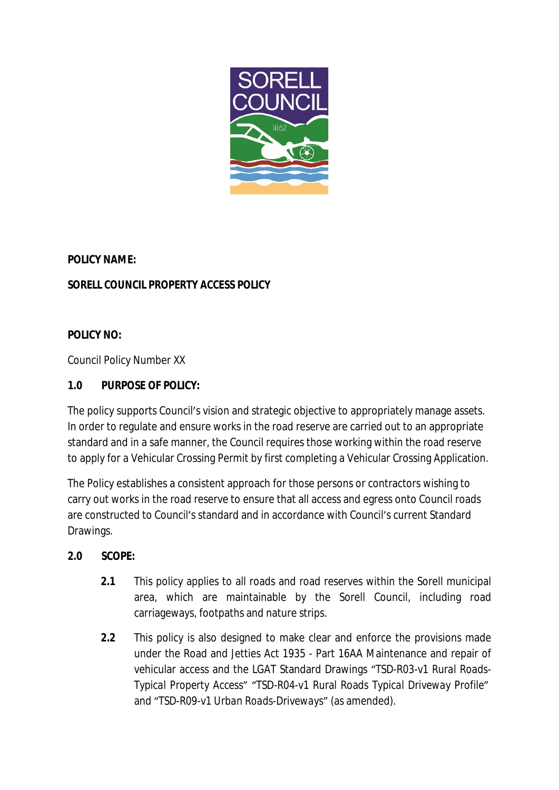

## **POLICY NAME:**

# *SORELL COUNCIL PROPERTY ACCESS POLICY*

## **POLICY NO:**

Council Policy Number XX

## **1.0 PURPOSE OF POLICY:**

The policy supports Council's vision and strategic objective to appropriately manage assets. In order to regulate and ensure works in the road reserve are carried out to an appropriate standard and in a safe manner, the Council requires those working within the road reserve to apply for a Vehicular Crossing Permit by first completing a Vehicular Crossing Application.

The Policy establishes a consistent approach for those persons or contractors wishing to carry out works in the road reserve to ensure that all access and egress onto Council roads are constructed to Council's standard and in accordance with Council's current Standard Drawings.

### **2.0 SCOPE:**

- **2.1** This policy applies to all roads and road reserves within the Sorell municipal area, which are maintainable by the Sorell Council, including road carriageways, footpaths and nature strips.
- **2.2** This policy is also designed to make clear and enforce the provisions made under the Road and Jetties Act 1935 - Part 16AA Maintenance and repair of vehicular access and the LGAT Standard Drawings "TSD-R03-v1 *Rural Roads-Typical Property Access*" "TSD-R04-v1 Rural Roads *Typical Driveway Profile*" and "TSD-R09-v1 *Urban Roads-Driveways*" (as amended).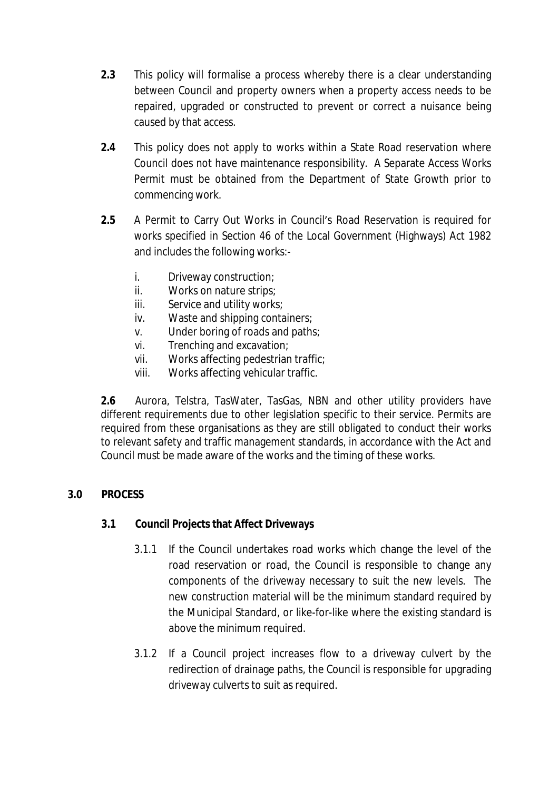- **2.3** This policy will formalise a process whereby there is a clear understanding between Council and property owners when a property access needs to be repaired, upgraded or constructed to prevent or correct a nuisance being caused by that access.
- **2.4** This policy does not apply to works within a State Road reservation where Council does not have maintenance responsibility. A Separate Access Works Permit must be obtained from the Department of State Growth prior to commencing work.
- **2.5** A Permit to Carry Out Works in Council's Road Reservation is required for works specified in Section 46 of the Local Government (Highways) Act 1982 and includes the following works:
	- i. Driveway construction;
	- ii. Works on nature strips;
	- iii. Service and utility works:
	- iv. Waste and shipping containers;
	- v. Under boring of roads and paths;
	- vi. Trenching and excavation;
	- vii. Works affecting pedestrian traffic;
	- viii. Works affecting vehicular traffic.

**2.6** Aurora, Telstra, TasWater, TasGas, NBN and other utility providers have different requirements due to other legislation specific to their service. Permits are required from these organisations as they are still obligated to conduct their works to relevant safety and traffic management standards, in accordance with the Act and Council must be made aware of the works and the timing of these works.

### **3.0 PROCESS**

### **3.1 Council Projects that Affect Driveways**

- 3.1.1 If the Council undertakes road works which change the level of the road reservation or road, the Council is responsible to change any components of the driveway necessary to suit the new levels. The new construction material will be the minimum standard required by the Municipal Standard, or like-for-like where the existing standard is above the minimum required.
- 3.1.2 If a Council project increases flow to a driveway culvert by the redirection of drainage paths, the Council is responsible for upgrading driveway culverts to suit as required.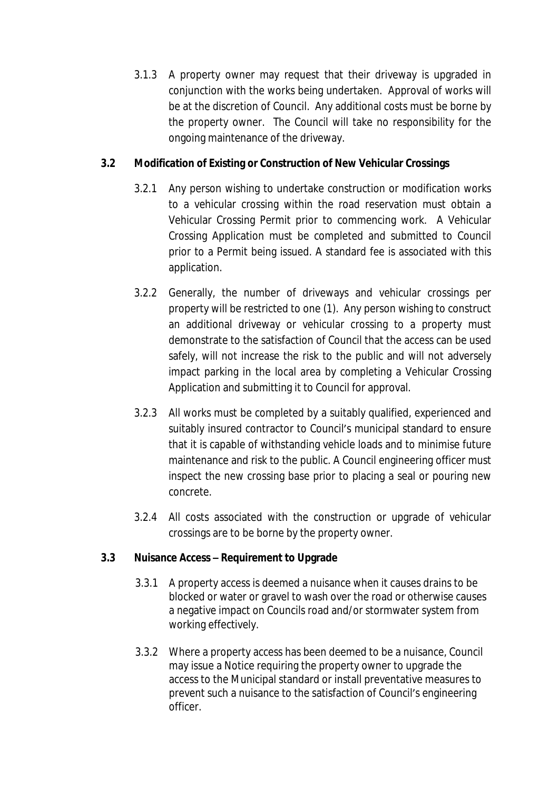3.1.3 A property owner may request that their driveway is upgraded in conjunction with the works being undertaken. Approval of works will be at the discretion of Council. Any additional costs must be borne by the property owner. The Council will take no responsibility for the ongoing maintenance of the driveway.

## **3.2 Modification of Existing or Construction of New Vehicular Crossings**

- 3.2.1 Any person wishing to undertake construction or modification works to a vehicular crossing within the road reservation must obtain a Vehicular Crossing Permit prior to commencing work. A Vehicular Crossing Application must be completed and submitted to Council prior to a Permit being issued. A standard fee is associated with this application.
- 3.2.2 Generally, the number of driveways and vehicular crossings per property will be restricted to one (1). Any person wishing to construct an additional driveway or vehicular crossing to a property must demonstrate to the satisfaction of Council that the access can be used safely, will not increase the risk to the public and will not adversely impact parking in the local area by completing a Vehicular Crossing Application and submitting it to Council for approval.
- 3.2.3 All works must be completed by a suitably qualified, experienced and suitably insured contractor to Council's municipal standard to ensure that it is capable of withstanding vehicle loads and to minimise future maintenance and risk to the public. A Council engineering officer must inspect the new crossing base prior to placing a seal or pouring new concrete.
- 3.2.4 All costs associated with the construction or upgrade of vehicular crossings are to be borne by the property owner.

### **3.3 Nuisance Access – Requirement to Upgrade**

- 3.3.1 A property access is deemed a nuisance when it causes drains to be blocked or water or gravel to wash over the road or otherwise causes a negative impact on Councils road and/or stormwater system from working effectively.
- 3.3.2 Where a property access has been deemed to be a nuisance, Council may issue a Notice requiring the property owner to upgrade the access to the Municipal standard or install preventative measures to prevent such a nuisance to the satisfaction of Council's engineering officer.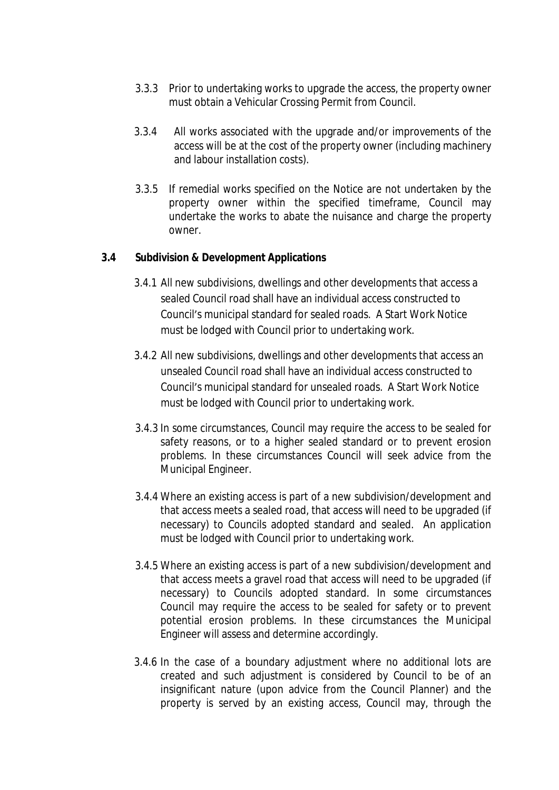- 3.3.3 Prior to undertaking works to upgrade the access, the property owner must obtain a Vehicular Crossing Permit from Council.
- 3.3.4 All works associated with the upgrade and/or improvements of the access will be at the cost of the property owner (including machinery and labour installation costs).
- 3.3.5 If remedial works specified on the Notice are not undertaken by the property owner within the specified timeframe, Council may undertake the works to abate the nuisance and charge the property owner.

#### **3.4 Subdivision & Development Applications**

- 3.4.1 All new subdivisions, dwellings and other developments that access a sealed Council road shall have an individual access constructed to Council's municipal standard for sealed roads. A Start Work Notice must be lodged with Council prior to undertaking work.
- 3.4.2 All new subdivisions, dwellings and other developments that access an unsealed Council road shall have an individual access constructed to Council's municipal standard for unsealed roads. A Start Work Notice must be lodged with Council prior to undertaking work.
- 3.4.3 In some circumstances, Council may require the access to be sealed for safety reasons, or to a higher sealed standard or to prevent erosion problems. In these circumstances Council will seek advice from the Municipal Engineer.
- 3.4.4 Where an existing access is part of a new subdivision/development and that access meets a sealed road, that access will need to be upgraded (if necessary) to Councils adopted standard and sealed. An application must be lodged with Council prior to undertaking work.
- 3.4.5 Where an existing access is part of a new subdivision/development and that access meets a gravel road that access will need to be upgraded (if necessary) to Councils adopted standard. In some circumstances Council may require the access to be sealed for safety or to prevent potential erosion problems. In these circumstances the Municipal Engineer will assess and determine accordingly.
- 3.4.6 In the case of a boundary adjustment where no additional lots are created and such adjustment is considered by Council to be of an insignificant nature (upon advice from the Council Planner) and the property is served by an existing access, Council may, through the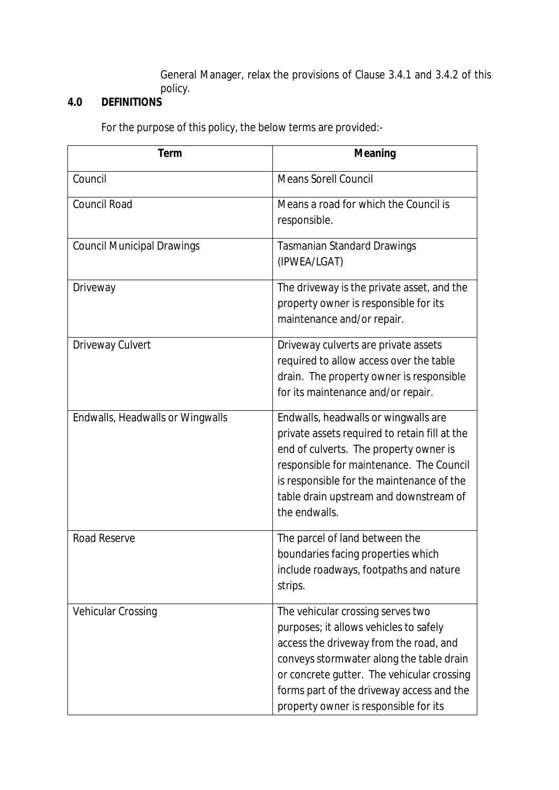General Manager, relax the provisions of Clause 3.4.1 and 3.4.2 of this policy.

## **4.0 DEFINITIONS**

For the purpose of this policy, the below terms are provided:-

| <b>Term</b>                       | <b>Meaning</b>                                                                                                                                                                                                                                                                                        |
|-----------------------------------|-------------------------------------------------------------------------------------------------------------------------------------------------------------------------------------------------------------------------------------------------------------------------------------------------------|
| Council                           | <b>Means Sorell Council</b>                                                                                                                                                                                                                                                                           |
| <b>Council Road</b>               | Means a road for which the Council is<br>responsible.                                                                                                                                                                                                                                                 |
| <b>Council Municipal Drawings</b> | <b>Tasmanian Standard Drawings</b><br>(IPWEA/LGAT)                                                                                                                                                                                                                                                    |
| Driveway                          | The driveway is the private asset, and the<br>property owner is responsible for its<br>maintenance and/or repair.                                                                                                                                                                                     |
| Driveway Culvert                  | Driveway culverts are private assets<br>required to allow access over the table<br>drain. The property owner is responsible<br>for its maintenance and/or repair.                                                                                                                                     |
| Endwalls, Headwalls or Wingwalls  | Endwalls, headwalls or wingwalls are<br>private assets required to retain fill at the<br>end of culverts. The property owner is<br>responsible for maintenance. The Council<br>is responsible for the maintenance of the<br>table drain upstream and downstream of<br>the endwalls.                   |
| <b>Road Reserve</b>               | The parcel of land between the<br>boundaries facing properties which<br>include roadways, footpaths and nature<br>strips.                                                                                                                                                                             |
| <b>Vehicular Crossing</b>         | The vehicular crossing serves two<br>purposes; it allows vehicles to safely<br>access the driveway from the road, and<br>conveys stormwater along the table drain<br>or concrete gutter. The vehicular crossing<br>forms part of the driveway access and the<br>property owner is responsible for its |